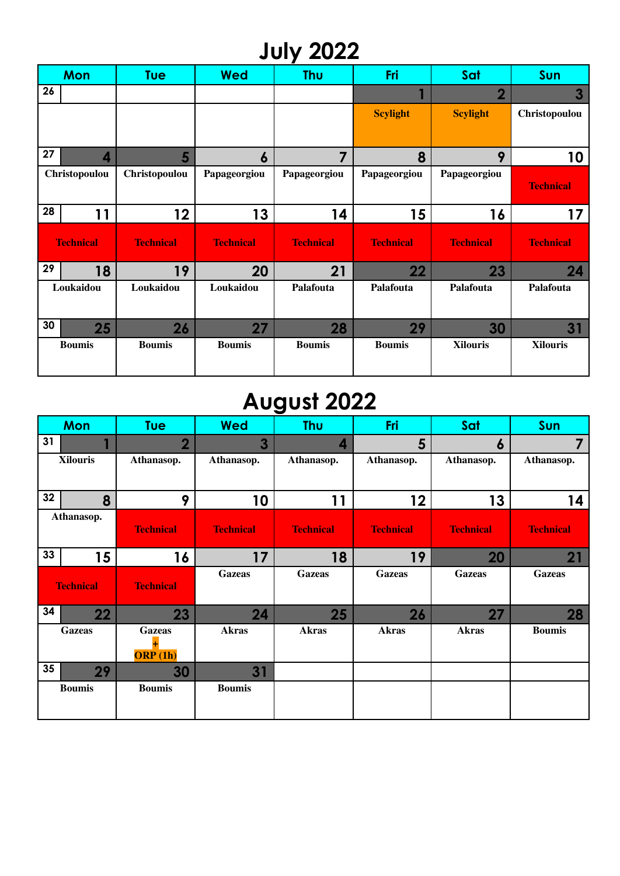## **July 2022**

|                  | <b>Mon</b>    | <b>Tue</b>       | <b>Wed</b>       | <b>Thu</b>       | Fri              | Sat              | Sun              |
|------------------|---------------|------------------|------------------|------------------|------------------|------------------|------------------|
| 26               |               |                  |                  |                  |                  | $\overline{2}$   | $\overline{3}$   |
|                  |               |                  |                  |                  | <b>Scylight</b>  | <b>Scylight</b>  | Christopoulou    |
| 27               | 4             | 5                | 6                | 7                | 8                | 9                | 10               |
|                  | Christopoulou | Christopoulou    | Papageorgiou     | Papageorgiou     | Papageorgiou     | Papageorgiou     | <b>Technical</b> |
| 28               | 11            | 12               | 13               | 14               | 15               | 16               | 17               |
| <b>Technical</b> |               | <b>Technical</b> | <b>Technical</b> | <b>Technical</b> | <b>Technical</b> | <b>Technical</b> | <b>Technical</b> |
| 29               | 18            | 19               | 20               | 21               | 22               | 23               | 24               |
|                  | Loukaidou     | Loukaidou        | Loukaidou        | Palafouta        | Palafouta        | Palafouta        | Palafouta        |
| 30               | 25            | 26               | 27               | 28               | 29               | 30               | 31               |
|                  | <b>Boumis</b> | <b>Boumis</b>    | <b>Boumis</b>    | <b>Boumis</b>    | <b>Boumis</b>    | <b>Xilouris</b>  | <b>Xilouris</b>  |

## **August 2022**

| <b>Mon</b>                     | <b>Tue</b>                     | <b>Wed</b>       | <b>Thu</b>       | Fri              | Sat              | <b>Sun</b>       |
|--------------------------------|--------------------------------|------------------|------------------|------------------|------------------|------------------|
| 31<br>$\overline{\phantom{a}}$ | $\overline{\mathbf{2}}$        | 3                | 4                | 5                | $\boldsymbol{6}$ | 7                |
| <b>Xilouris</b>                | Athanasop.                     | Athanasop.       | Athanasop.       | Athanasop.       | Athanasop.       | Athanasop.       |
| 32<br>8                        | 9                              | 10               | 11               | 12               | 13               | 14               |
| Athanasop.                     | <b>Technical</b>               | <b>Technical</b> | <b>Technical</b> | <b>Technical</b> | <b>Technical</b> | <b>Technical</b> |
| 33<br>15                       | 16                             | 17               | 18               | 19               | 20               | 21               |
| <b>Technical</b>               | <b>Technical</b>               | <b>Gazeas</b>    | <b>Gazeas</b>    | <b>Gazeas</b>    | <b>Gazeas</b>    | <b>Gazeas</b>    |
| 34<br>22                       | 23                             | 24               | 25               | 26               | 27               | 28               |
| Gazeas                         | <b>Gazeas</b><br>÷.<br>ORP(1h) | <b>Akras</b>     | <b>Akras</b>     | <b>Akras</b>     | <b>Akras</b>     | <b>Boumis</b>    |
| 35<br>29                       | 30                             | 31               |                  |                  |                  |                  |
| <b>Boumis</b>                  | <b>Boumis</b>                  | <b>Boumis</b>    |                  |                  |                  |                  |